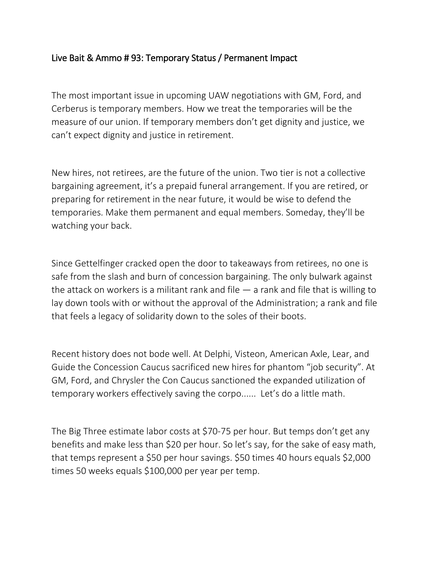## Live Bait & Ammo # 93: Temporary Status / Permanent Impact

The most important issue in upcoming UAW negotiations with GM, Ford, and Cerberus is temporary members. How we treat the temporaries will be the measure of our union. If temporary members don't get dignity and justice, we can't expect dignity and justice in retirement.

New hires, not retirees, are the future of the union. Two tier is not a collective bargaining agreement, it's a prepaid funeral arrangement. If you are retired, or preparing for retirement in the near future, it would be wise to defend the temporaries. Make them permanent and equal members. Someday, they'll be watching your back.

Since Gettelfinger cracked open the door to takeaways from retirees, no one is safe from the slash and burn of concession bargaining. The only bulwark against the attack on workers is a militant rank and file  $-$  a rank and file that is willing to lay down tools with or without the approval of the Administration; a rank and file that feels a legacy of solidarity down to the soles of their boots.

Recent history does not bode well. At Delphi, Visteon, American Axle, Lear, and Guide the Concession Caucus sacrificed new hires for phantom "job security". At GM, Ford, and Chrysler the Con Caucus sanctioned the expanded utilization of temporary workers effectively saving the corpo...... Let's do a little math.

The Big Three estimate labor costs at \$70-75 per hour. But temps don't get any benefits and make less than \$20 per hour. So let's say, for the sake of easy math, that temps represent a \$50 per hour savings. \$50 times 40 hours equals \$2,000 times 50 weeks equals \$100,000 per year per temp.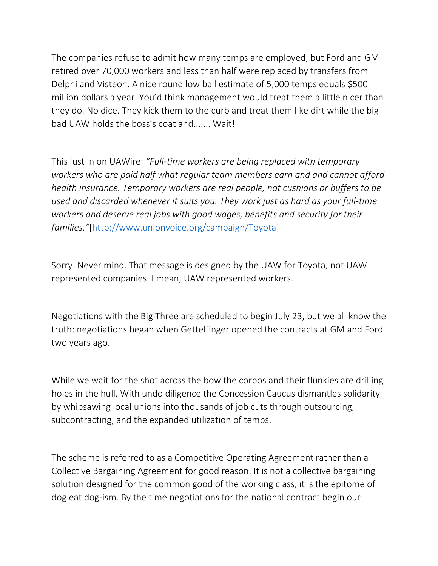The companies refuse to admit how many temps are employed, but Ford and GM retired over 70,000 workers and less than half were replaced by transfers from Delphi and Visteon. A nice round low ball estimate of 5,000 temps equals \$500 million dollars a year. You'd think management would treat them a little nicer than they do. No dice. They kick them to the curb and treat them like dirt while the big bad UAW holds the boss's coat and....... Wait!

This just in on UAWire: *"Full-time workers are being replaced with temporary workers who are paid half what regular team members earn and and cannot afford health insurance. Temporary workers are real people, not cushions or buffers to be used and discarded whenever it suits you. They work just as hard as your full-time workers and deserve real jobs with good wages, benefits and security for their families."*[\[http://www.unionvoice.org/campaign/Toyota\]](http://www.unionvoice.org/campaign/Toyota)

Sorry. Never mind. That message is designed by the UAW for Toyota, not UAW represented companies. I mean, UAW represented workers.

Negotiations with the Big Three are scheduled to begin July 23, but we all know the truth: negotiations began when Gettelfinger opened the contracts at GM and Ford two years ago.

While we wait for the shot across the bow the corpos and their flunkies are drilling holes in the hull. With undo diligence the Concession Caucus dismantles solidarity by whipsawing local unions into thousands of job cuts through outsourcing, subcontracting, and the expanded utilization of temps.

The scheme is referred to as a Competitive Operating Agreement rather than a Collective Bargaining Agreement for good reason. It is not a collective bargaining solution designed for the common good of the working class, it is the epitome of dog eat dog-ism. By the time negotiations for the national contract begin our